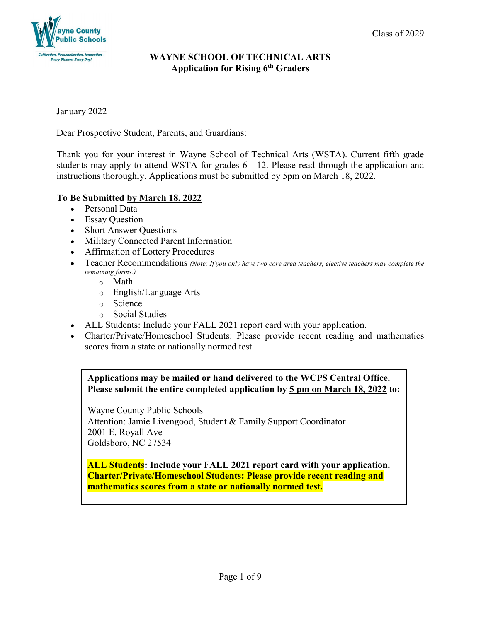

January 2022

Dear Prospective Student, Parents, and Guardians:

Thank you for your interest in Wayne School of Technical Arts (WSTA). Current fifth grade students may apply to attend WSTA for grades 6 - 12. Please read through the application and instructions thoroughly. Applications must be submitted by 5pm on March 18, 2022.

# **To Be Submitted by March 18, 2022**

- Personal Data
- Essay Question
- Short Answer Questions
- Military Connected Parent Information
- Affirmation of Lottery Procedures
- Teacher Recommendations *(Note: If you only have two core area teachers, elective teachers may complete the remaining forms.)*
	- o Math
	- o English/Language Arts
	- o Science
	- o Social Studies
- ALL Students: Include your FALL 2021 report card with your application.
- Charter/Private/Homeschool Students: Please provide recent reading and mathematics scores from a state or nationally normed test.

**Applications may be mailed or hand delivered to the WCPS Central Office. Please submit the entire completed application by 5 pm on March 18, 2022 to:**

Wayne County Public Schools Attention: Jamie Livengood, Student & Family Support Coordinator 2001 E. Royall Ave Goldsboro, NC 27534

**ALL Students: Include your FALL 2021 report card with your application. Charter/Private/Homeschool Students: Please provide recent reading and mathematics scores from a state or nationally normed test.**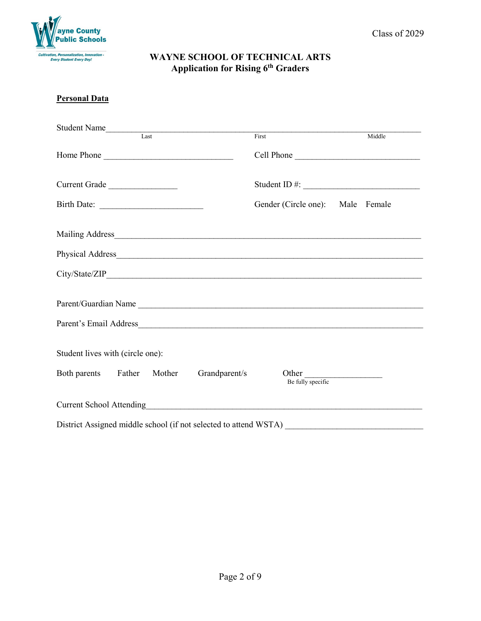

#### **Personal Data**

| Student Name<br>Last             |  |                                                                  |                                  |        |  |
|----------------------------------|--|------------------------------------------------------------------|----------------------------------|--------|--|
|                                  |  |                                                                  | First                            | Middle |  |
| Home Phone                       |  |                                                                  | Cell Phone                       |        |  |
| Current Grade                    |  |                                                                  |                                  |        |  |
| Birth Date:                      |  |                                                                  | Gender (Circle one): Male Female |        |  |
|                                  |  |                                                                  |                                  |        |  |
|                                  |  |                                                                  |                                  |        |  |
|                                  |  |                                                                  |                                  |        |  |
|                                  |  |                                                                  | Parent/Guardian Name             |        |  |
|                                  |  |                                                                  |                                  |        |  |
| Student lives with (circle one): |  |                                                                  |                                  |        |  |
|                                  |  | Both parents Father Mother Grandparent/s                         | Other<br>Be fully specific       |        |  |
|                                  |  |                                                                  |                                  |        |  |
|                                  |  | District Assigned middle school (if not selected to attend WSTA) |                                  |        |  |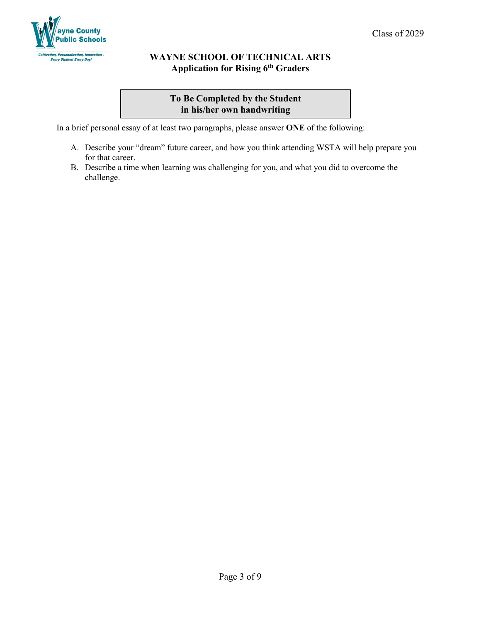

# **To Be Completed by the Student in his/her own handwriting**

In a brief personal essay of at least two paragraphs, please answer **ONE** of the following:

- A. Describe your "dream" future career, and how you think attending WSTA will help prepare you for that career.
- B. Describe a time when learning was challenging for you, and what you did to overcome the challenge.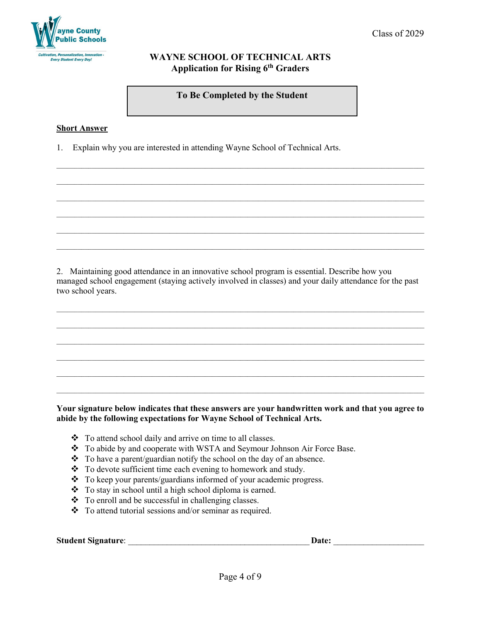

**To Be Completed by the Student**

 $\_$  ,  $\_$  ,  $\_$  ,  $\_$  ,  $\_$  ,  $\_$  ,  $\_$  ,  $\_$  ,  $\_$  ,  $\_$  ,  $\_$  ,  $\_$  ,  $\_$  ,  $\_$  ,  $\_$  ,  $\_$  ,  $\_$  ,  $\_$  ,  $\_$  ,  $\_$  ,  $\_$  ,  $\_$  ,  $\_$  ,  $\_$  ,  $\_$  ,  $\_$  ,  $\_$  ,  $\_$  ,  $\_$  ,  $\_$  ,  $\_$  ,  $\_$  ,  $\_$  ,  $\_$  ,  $\_$  ,  $\_$  ,  $\_$  ,

 $\_$  ,  $\_$  ,  $\_$  ,  $\_$  ,  $\_$  ,  $\_$  ,  $\_$  ,  $\_$  ,  $\_$  ,  $\_$  ,  $\_$  ,  $\_$  ,  $\_$  ,  $\_$  ,  $\_$  ,  $\_$  ,  $\_$  ,  $\_$  ,  $\_$  ,  $\_$  ,  $\_$  ,  $\_$  ,  $\_$  ,  $\_$  ,  $\_$  ,  $\_$  ,  $\_$  ,  $\_$  ,  $\_$  ,  $\_$  ,  $\_$  ,  $\_$  ,  $\_$  ,  $\_$  ,  $\_$  ,  $\_$  ,  $\_$  ,

 $\_$  ,  $\_$  ,  $\_$  ,  $\_$  ,  $\_$  ,  $\_$  ,  $\_$  ,  $\_$  ,  $\_$  ,  $\_$  ,  $\_$  ,  $\_$  ,  $\_$  ,  $\_$  ,  $\_$  ,  $\_$  ,  $\_$  ,  $\_$  ,  $\_$  ,  $\_$  ,  $\_$  ,  $\_$  ,  $\_$  ,  $\_$  ,  $\_$  ,  $\_$  ,  $\_$  ,  $\_$  ,  $\_$  ,  $\_$  ,  $\_$  ,  $\_$  ,  $\_$  ,  $\_$  ,  $\_$  ,  $\_$  ,  $\_$  ,

 $\_$  ,  $\_$  ,  $\_$  ,  $\_$  ,  $\_$  ,  $\_$  ,  $\_$  ,  $\_$  ,  $\_$  ,  $\_$  ,  $\_$  ,  $\_$  ,  $\_$  ,  $\_$  ,  $\_$  ,  $\_$  ,  $\_$  ,  $\_$  ,  $\_$  ,  $\_$  ,  $\_$  ,  $\_$  ,  $\_$  ,  $\_$  ,  $\_$  ,  $\_$  ,  $\_$  ,  $\_$  ,  $\_$  ,  $\_$  ,  $\_$  ,  $\_$  ,  $\_$  ,  $\_$  ,  $\_$  ,  $\_$  ,  $\_$  ,

#### **Short Answer**

1. Explain why you are interested in attending Wayne School of Technical Arts.

2. Maintaining good attendance in an innovative school program is essential. Describe how you managed school engagement (staying actively involved in classes) and your daily attendance for the past two school years.

 $\_$  ,  $\_$  ,  $\_$  ,  $\_$  ,  $\_$  ,  $\_$  ,  $\_$  ,  $\_$  ,  $\_$  ,  $\_$  ,  $\_$  ,  $\_$  ,  $\_$  ,  $\_$  ,  $\_$  ,  $\_$  ,  $\_$  ,  $\_$  ,  $\_$  ,  $\_$  ,  $\_$  ,  $\_$  ,  $\_$  ,  $\_$  ,  $\_$  ,  $\_$  ,  $\_$  ,  $\_$  ,  $\_$  ,  $\_$  ,  $\_$  ,  $\_$  ,  $\_$  ,  $\_$  ,  $\_$  ,  $\_$  ,  $\_$  ,

 $\_$  ,  $\_$  ,  $\_$  ,  $\_$  ,  $\_$  ,  $\_$  ,  $\_$  ,  $\_$  ,  $\_$  ,  $\_$  ,  $\_$  ,  $\_$  ,  $\_$  ,  $\_$  ,  $\_$  ,  $\_$  ,  $\_$  ,  $\_$  ,  $\_$  ,  $\_$  ,  $\_$  ,  $\_$  ,  $\_$  ,  $\_$  ,  $\_$  ,  $\_$  ,  $\_$  ,  $\_$  ,  $\_$  ,  $\_$  ,  $\_$  ,  $\_$  ,  $\_$  ,  $\_$  ,  $\_$  ,  $\_$  ,  $\_$  ,

 $\_$  ,  $\_$  ,  $\_$  ,  $\_$  ,  $\_$  ,  $\_$  ,  $\_$  ,  $\_$  ,  $\_$  ,  $\_$  ,  $\_$  ,  $\_$  ,  $\_$  ,  $\_$  ,  $\_$  ,  $\_$  ,  $\_$  ,  $\_$  ,  $\_$  ,  $\_$  ,  $\_$  ,  $\_$  ,  $\_$  ,  $\_$  ,  $\_$  ,  $\_$  ,  $\_$  ,  $\_$  ,  $\_$  ,  $\_$  ,  $\_$  ,  $\_$  ,  $\_$  ,  $\_$  ,  $\_$  ,  $\_$  ,  $\_$  ,

 $\_$  ,  $\_$  ,  $\_$  ,  $\_$  ,  $\_$  ,  $\_$  ,  $\_$  ,  $\_$  ,  $\_$  ,  $\_$  ,  $\_$  ,  $\_$  ,  $\_$  ,  $\_$  ,  $\_$  ,  $\_$  ,  $\_$  ,  $\_$  ,  $\_$  ,  $\_$  ,  $\_$  ,  $\_$  ,  $\_$  ,  $\_$  ,  $\_$  ,  $\_$  ,  $\_$  ,  $\_$  ,  $\_$  ,  $\_$  ,  $\_$  ,  $\_$  ,  $\_$  ,  $\_$  ,  $\_$  ,  $\_$  ,  $\_$  ,

 $\_$  ,  $\_$  ,  $\_$  ,  $\_$  ,  $\_$  ,  $\_$  ,  $\_$  ,  $\_$  ,  $\_$  ,  $\_$  ,  $\_$  ,  $\_$  ,  $\_$  ,  $\_$  ,  $\_$  ,  $\_$  ,  $\_$  ,  $\_$  ,  $\_$  ,  $\_$  ,  $\_$  ,  $\_$  ,  $\_$  ,  $\_$  ,  $\_$  ,  $\_$  ,  $\_$  ,  $\_$  ,  $\_$  ,  $\_$  ,  $\_$  ,  $\_$  ,  $\_$  ,  $\_$  ,  $\_$  ,  $\_$  ,  $\_$  ,

### **Your signature below indicates that these answers are your handwritten work and that you agree to abide by the following expectations for Wayne School of Technical Arts.**

- \* To attend school daily and arrive on time to all classes.
- \* To abide by and cooperate with WSTA and Seymour Johnson Air Force Base.
- $\bullet$  To have a parent/guardian notify the school on the day of an absence.
- \* To devote sufficient time each evening to homework and study.
- \* To keep your parents/guardians informed of your academic progress.
- \* To stay in school until a high school diploma is earned.
- \* To enroll and be successful in challenging classes.
- \* To attend tutorial sessions and/or seminar as required.

**Student Signature**: \_\_\_\_\_\_\_\_\_\_\_\_\_\_\_\_\_\_\_\_\_\_\_\_\_\_\_\_\_\_\_\_\_\_\_\_\_\_\_\_\_\_ **Date:** \_\_\_\_\_\_\_\_\_\_\_\_\_\_\_\_\_\_\_\_\_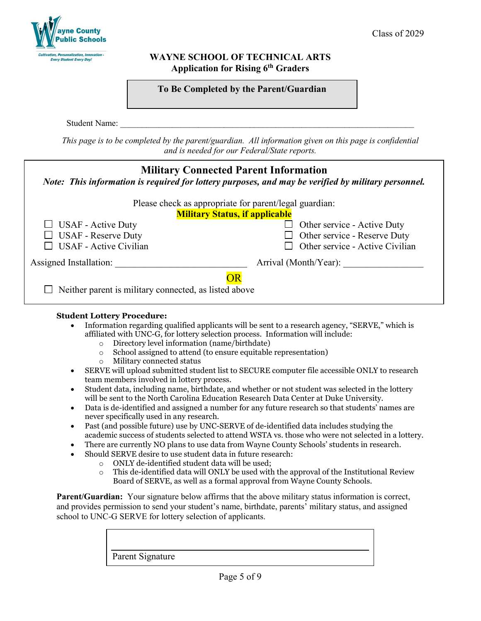

| To Be Completed by the Parent/Guardian |  |
|----------------------------------------|--|
|----------------------------------------|--|

Student Name:

*This page is to be completed by the parent/guardian. All information given on this page is confidential and is needed for our Federal/State reports.*

| <b>Military Connected Parent Information</b><br>Note: This information is required for lottery purposes, and may be verified by military personnel. |                                             |  |  |  |
|-----------------------------------------------------------------------------------------------------------------------------------------------------|---------------------------------------------|--|--|--|
| Please check as appropriate for parent/legal guardian:                                                                                              |                                             |  |  |  |
| <b>Military Status, if applicable</b>                                                                                                               |                                             |  |  |  |
| $\Box$ USAF - Active Duty                                                                                                                           | Other service - Active Duty<br>$\mathsf{L}$ |  |  |  |
| <b>USAF</b> - Reserve Duty                                                                                                                          | Other service - Reserve Duty<br>$\Box$      |  |  |  |
| <b>USAF</b> - Active Civilian                                                                                                                       | Other service - Active Civilian             |  |  |  |
| Assigned Installation:                                                                                                                              | Arrival (Month/Year):                       |  |  |  |
| ОR<br>Neither parent is military connected, as listed above                                                                                         |                                             |  |  |  |

### **Student Lottery Procedure:**

- Information regarding qualified applicants will be sent to a research agency, "SERVE," which is affiliated with UNC-G, for lottery selection process. Information will include:
	- $\circ$  Directory level information (name/birthdate)<br> $\circ$  School assigned to attend (to ensure equitable
	- $\circ$  School assigned to attend (to ensure equitable representation)<br>  $\circ$  Military connected status
	- Military connected status
- SERVE will upload submitted student list to SECURE computer file accessible ONLY to research team members involved in lottery process.
- Student data, including name, birthdate, and whether or not student was selected in the lottery will be sent to the North Carolina Education Research Data Center at Duke University.
- Data is de-identified and assigned a number for any future research so that students' names are never specifically used in any research.
- Past (and possible future) use by UNC-SERVE of de-identified data includes studying the academic success of students selected to attend WSTA vs. those who were not selected in a lottery.
- There are currently NO plans to use data from Wayne County Schools' students in research.
- Should SERVE desire to use student data in future research:
	- $\circ$  ONLY de-identified student data will be used;<br> $\circ$  This de-identified data will ONLY be used with
	- This de-identified data will ONLY be used with the approval of the Institutional Review Board of SERVE, as well as a formal approval from Wayne County Schools.

**Parent/Guardian:** Your signature below affirms that the above military status information is correct, and provides permission to send your student's name, birthdate, parents' military status, and assigned school to UNC-G SERVE for lottery selection of applicants.

Parent Signature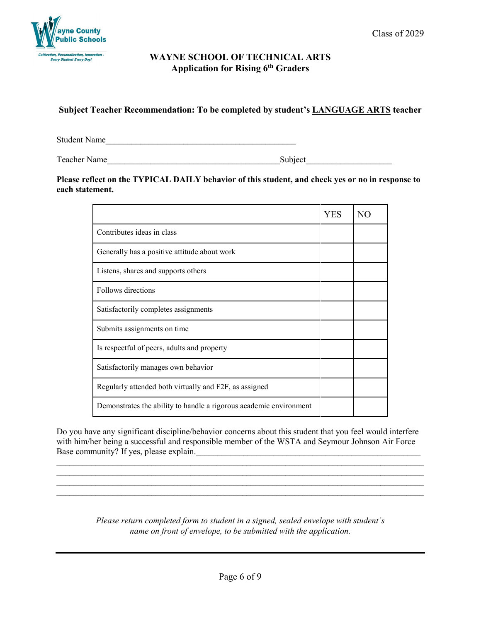

# **Subject Teacher Recommendation: To be completed by student's LANGUAGE ARTS teacher**

Student Name

Teacher Name **Subject** 

### **Please reflect on the TYPICAL DAILY behavior of this student, and check yes or no in response to each statement.**

|                                                                    | <b>YES</b> | NO. |
|--------------------------------------------------------------------|------------|-----|
| Contributes ideas in class                                         |            |     |
| Generally has a positive attitude about work                       |            |     |
| Listens, shares and supports others                                |            |     |
| Follows directions                                                 |            |     |
| Satisfactorily completes assignments                               |            |     |
| Submits assignments on time                                        |            |     |
| Is respectful of peers, adults and property                        |            |     |
| Satisfactorily manages own behavior                                |            |     |
| Regularly attended both virtually and F2F, as assigned             |            |     |
| Demonstrates the ability to handle a rigorous academic environment |            |     |

Do you have any significant discipline/behavior concerns about this student that you feel would interfere with him/her being a successful and responsible member of the WSTA and Seymour Johnson Air Force Base community? If yes, please explain.

 $\_$  , and the set of the set of the set of the set of the set of the set of the set of the set of the set of the set of the set of the set of the set of the set of the set of the set of the set of the set of the set of th \_\_\_\_\_\_\_\_\_\_\_\_\_\_\_\_\_\_\_\_\_\_\_\_\_\_\_\_\_\_\_\_\_\_\_\_\_\_\_\_\_\_\_\_\_\_\_\_\_\_\_\_\_\_\_\_\_\_\_\_\_\_\_\_\_\_\_\_\_\_\_\_\_\_\_\_\_\_\_\_\_\_\_\_\_ \_\_\_\_\_\_\_\_\_\_\_\_\_\_\_\_\_\_\_\_\_\_\_\_\_\_\_\_\_\_\_\_\_\_\_\_\_\_\_\_\_\_\_\_\_\_\_\_\_\_\_\_\_\_\_\_\_\_\_\_\_\_\_\_\_\_\_\_\_\_\_\_\_\_\_\_\_\_\_\_\_\_\_\_\_  $\_$  , and the set of the set of the set of the set of the set of the set of the set of the set of the set of the set of the set of the set of the set of the set of the set of the set of the set of the set of the set of th

> *Please return completed form to student in a signed, sealed envelope with student's name on front of envelope, to be submitted with the application.*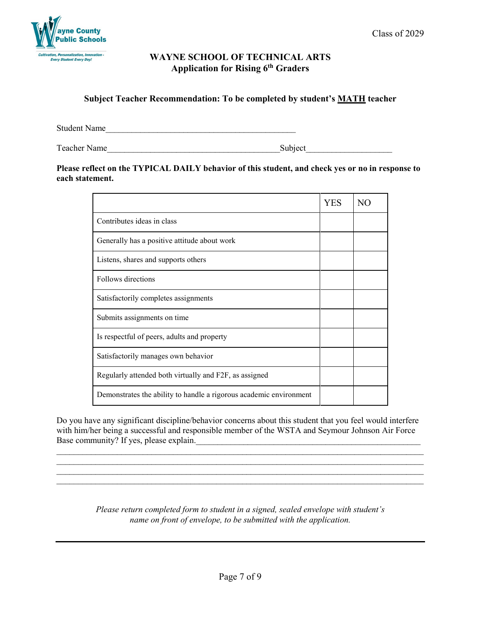

### **Subject Teacher Recommendation: To be completed by student's MATH teacher**

Student Name

Teacher Name\_\_\_\_\_\_\_\_\_\_\_\_\_\_\_\_\_\_\_\_\_\_\_\_\_\_\_\_\_\_\_\_\_\_\_\_\_\_\_\_Subject\_\_\_\_\_\_\_\_\_\_\_\_\_\_\_\_\_\_\_\_

### **Please reflect on the TYPICAL DAILY behavior of this student, and check yes or no in response to each statement.**

|                                                                    | YES | N <sub>O</sub> |
|--------------------------------------------------------------------|-----|----------------|
| Contributes ideas in class                                         |     |                |
| Generally has a positive attitude about work                       |     |                |
| Listens, shares and supports others                                |     |                |
| Follows directions                                                 |     |                |
| Satisfactorily completes assignments                               |     |                |
| Submits assignments on time                                        |     |                |
| Is respectful of peers, adults and property                        |     |                |
| Satisfactorily manages own behavior                                |     |                |
| Regularly attended both virtually and F2F, as assigned             |     |                |
| Demonstrates the ability to handle a rigorous academic environment |     |                |

Do you have any significant discipline/behavior concerns about this student that you feel would interfere with him/her being a successful and responsible member of the WSTA and Seymour Johnson Air Force Base community? If yes, please explain.

\_\_\_\_\_\_\_\_\_\_\_\_\_\_\_\_\_\_\_\_\_\_\_\_\_\_\_\_\_\_\_\_\_\_\_\_\_\_\_\_\_\_\_\_\_\_\_\_\_\_\_\_\_\_\_\_\_\_\_\_\_\_\_\_\_\_\_\_\_\_\_\_\_\_\_\_\_\_\_\_\_\_\_\_\_

 $\_$  , and the set of the set of the set of the set of the set of the set of the set of the set of the set of the set of the set of the set of the set of the set of the set of the set of the set of the set of the set of th

*Please return completed form to student in a signed, sealed envelope with student's name on front of envelope, to be submitted with the application.*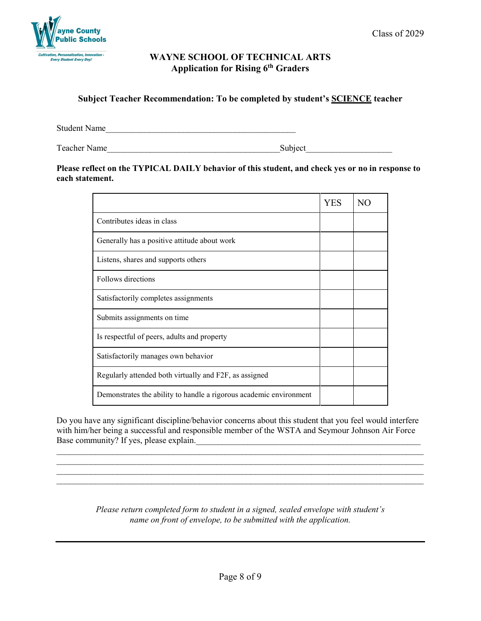

### **Subject Teacher Recommendation: To be completed by student's SCIENCE teacher**

Student Name

Teacher Name\_\_\_\_\_\_\_\_\_\_\_\_\_\_\_\_\_\_\_\_\_\_\_\_\_\_\_\_\_\_\_\_\_\_\_\_\_\_\_\_Subject\_\_\_\_\_\_\_\_\_\_\_\_\_\_\_\_\_\_\_\_

### **Please reflect on the TYPICAL DAILY behavior of this student, and check yes or no in response to each statement.**

|                                                                    | YES | NO. |
|--------------------------------------------------------------------|-----|-----|
| Contributes ideas in class                                         |     |     |
| Generally has a positive attitude about work                       |     |     |
| Listens, shares and supports others                                |     |     |
| Follows directions                                                 |     |     |
| Satisfactorily completes assignments                               |     |     |
| Submits assignments on time                                        |     |     |
| Is respectful of peers, adults and property                        |     |     |
| Satisfactorily manages own behavior                                |     |     |
| Regularly attended both virtually and F2F, as assigned             |     |     |
| Demonstrates the ability to handle a rigorous academic environment |     |     |

Do you have any significant discipline/behavior concerns about this student that you feel would interfere with him/her being a successful and responsible member of the WSTA and Seymour Johnson Air Force Base community? If yes, please explain.

\_\_\_\_\_\_\_\_\_\_\_\_\_\_\_\_\_\_\_\_\_\_\_\_\_\_\_\_\_\_\_\_\_\_\_\_\_\_\_\_\_\_\_\_\_\_\_\_\_\_\_\_\_\_\_\_\_\_\_\_\_\_\_\_\_\_\_\_\_\_\_\_\_\_\_\_\_\_\_\_\_\_\_\_\_ \_\_\_\_\_\_\_\_\_\_\_\_\_\_\_\_\_\_\_\_\_\_\_\_\_\_\_\_\_\_\_\_\_\_\_\_\_\_\_\_\_\_\_\_\_\_\_\_\_\_\_\_\_\_\_\_\_\_\_\_\_\_\_\_\_\_\_\_\_\_\_\_\_\_\_\_\_\_\_\_\_\_\_\_\_

 $\_$  , and the set of the set of the set of the set of the set of the set of the set of the set of the set of the set of the set of the set of the set of the set of the set of the set of the set of the set of the set of th

*Please return completed form to student in a signed, sealed envelope with student's name on front of envelope, to be submitted with the application.*